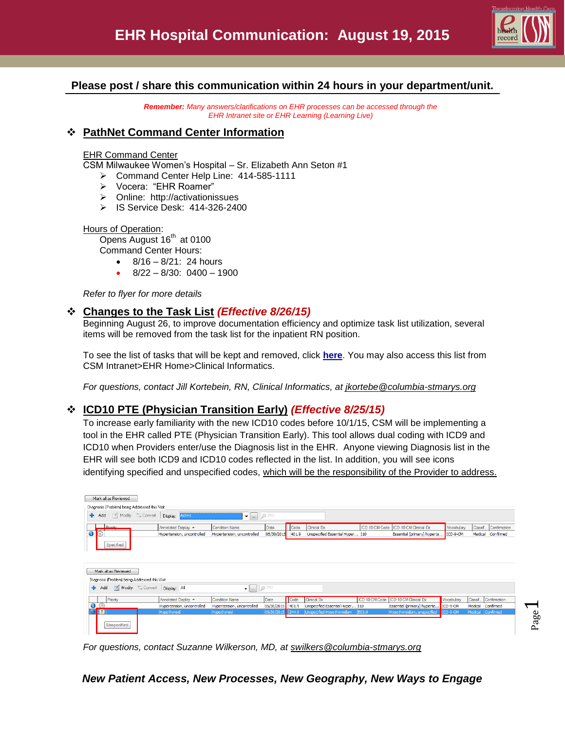

# **Please post / share this communication within 24 hours in your department/unit.**

*Remember: Many answers/clarifications on EHR processes can be accessed through the EHR Intranet site or EHR Learning (Learning Live)*

## **PathNet Command Center Information**

## EHR Command Center

CSM Milwaukee Women's Hospital – Sr. Elizabeth Ann Seton #1

- Command Center Help Line: 414-585-1111
- Vocera: "EHR Roamer"
- > Online: http://activationissues
- IS Service Desk: 414-326-2400

### Hours of Operation:

Opens August  $16<sup>th</sup>$  at 0100 Command Center Hours:

 $\bullet$  8/16 – 8/21: 24 hours

8/22 – 8/30: 0400 – 1900

*Refer to flyer for more details*

# **Changes to the Task List** *(Effective 8/26/15)*

Beginning August 26, to improve documentation efficiency and optimize task list utilization, several items will be removed from the task list for the inpatient RN position.

To see the list of tasks that will be kept and removed, click **[here](http://csmintranet.columbia-stmarys.org/ehr/documents/TaskstobeKeptandtobeRemovedfromtheNurseTaskList.pdf)**. You may also access this list from CSM Intranet>EHR Home>Clinical Informatics.

*For questions, contact Jill Kortebein, RN, Clinical Informatics, at jkortebe@columbia-stmarys.org*

# **ICD10 PTE (Physician Transition Early)** *(Effective 8/25/15)*

To increase early familiarity with the new ICD10 codes before 10/1/15, CSM will be implementing a tool in the EHR called PTE (Physician Transition Early). This tool allows dual coding with ICD9 and ICD10 when Providers enter/use the Diagnosis list in the EHR. Anyone viewing Diagnosis list in the EHR will see both ICD9 and ICD10 codes reflected in the list. In addition, you will see icons identifying specified and unspecified codes, which will be the responsibility of the Provider to address.

| Mark all as Reviewed                                                                               |                               |                            |            |       |                                 |                |                                        |            |                   |                   |
|----------------------------------------------------------------------------------------------------|-------------------------------|----------------------------|------------|-------|---------------------------------|----------------|----------------------------------------|------------|-------------------|-------------------|
| Diagnosis (Problem) being Addressed this Visit                                                     |                               |                            |            |       |                                 |                |                                        |            |                   |                   |
| Modify = Convert<br><b>+</b> Add<br>O IMO<br>Display: Active<br>$\bullet$ $\overline{\phantom{a}}$ |                               |                            |            |       |                                 |                |                                        |            |                   |                   |
| Priority                                                                                           | Annotated Display $\triangle$ | <b>Condition Name</b>      | Date       | Code  | <b>Clinical Dx</b>              |                | ICD-10-CM Code   ICD-10-CM Clinical Dx | Vocabulary | Classif.          | Confirmation      |
| $\bullet$<br>$\circledcirc$                                                                        | Hypertension, uncontrolled    | Hypertension, uncontrolled | 05/30/2015 | 401.9 | Unspecified Essential Hyper I10 |                | Essential (primary) hyperte            | ICD-9-CM   |                   | Medical Confirmed |
| Specified<br>Mark all as Reviewed<br>Diagnosis (Problem) being Addressed this Visit                |                               |                            |            |       |                                 |                |                                        |            |                   |                   |
| Modify <b>Convert</b> Display: All<br><b>DIMO</b><br>Add<br>٠<br>$\bullet$                         |                               |                            |            |       |                                 |                |                                        |            |                   |                   |
| Priority                                                                                           | Annotated Display A           | <b>Condition Name</b>      | Date       | Code  | <b>Clinical Dx</b>              | ICD-10-CM Code | ICD-10-CM Clinical Dx                  | Vocabulary | Classif           | Confirmation      |
| $\bigodot$                                                                                         | Hypertension, uncontrolled    | Hypertension, uncontrolled | 05/30/2015 | 401.9 | Unspecified Essential Hyper I10 |                | Essential (primary) hyperte            | ICD-9-CM   | Medical           | Confirmed         |
| l O<br>$\odot$                                                                                     | Hypothyroid                   | Hypothyroid                | 05/30/2015 | 244.9 | Unspecified Hypothyroidism      | <b>E03.9</b>   | Hypothyroidism, unspecified            | ICD-9-CM   | Medical Confirmed |                   |
| <b>Unspecified</b>                                                                                 |                               |                            |            |       |                                 |                |                                        |            |                   |                   |

*For questions, contact Suzanne Wilkerson, MD, at swilkers@columbia-stmarys.org*

# *New Patient Access, New Processes, New Geography, New Ways to Engage*